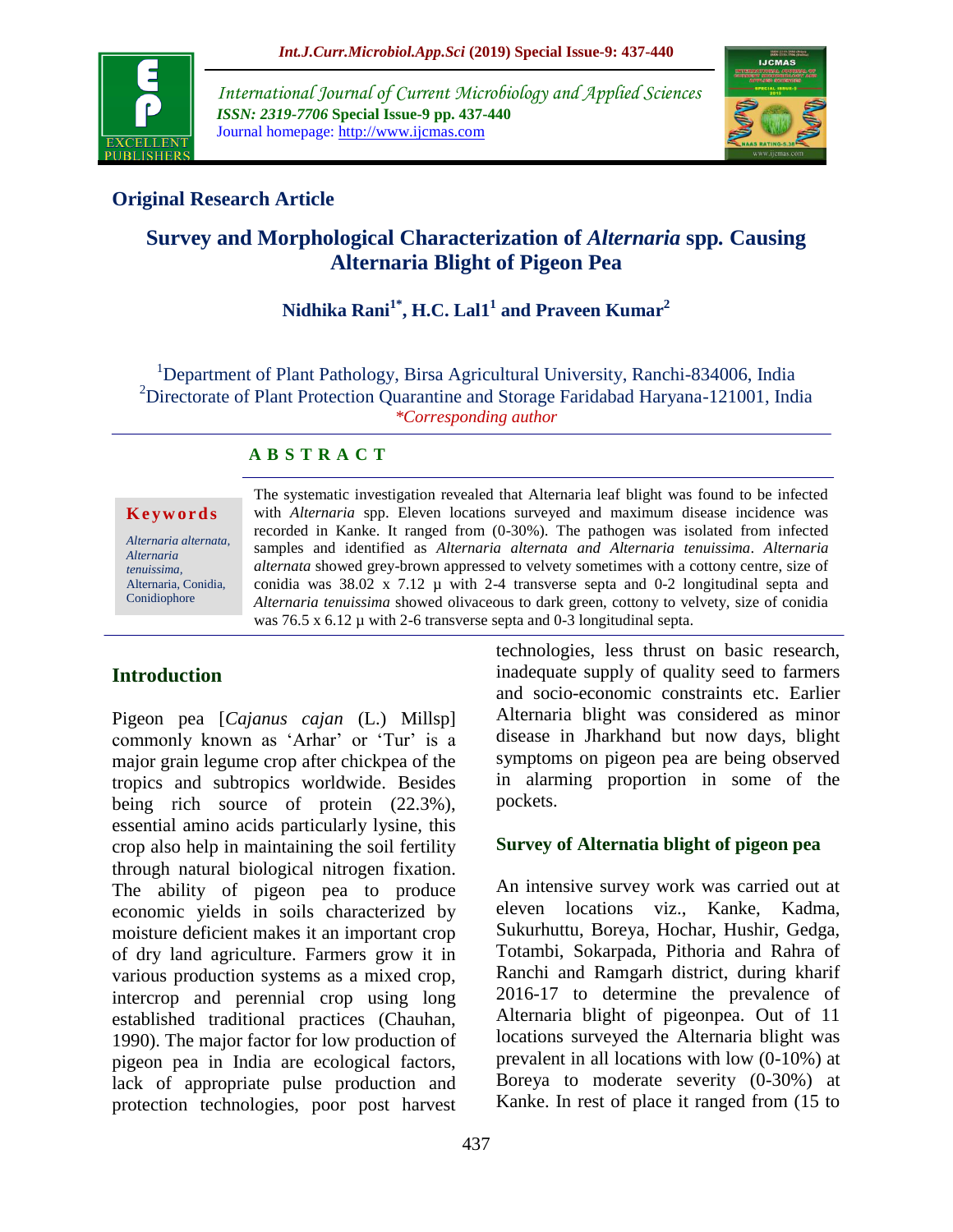

*International Journal of Current Microbiology and Applied Sciences ISSN: 2319-7706* **Special Issue-9 pp. 437-440** Journal homepage: http://www.ijcmas.com



# **Original Research Article**

# **Survey and Morphological Characterization of** *Alternaria* **spp***.* **Causing Alternaria Blight of Pigeon Pea**

# **Nidhika Rani1\* , H.C. Lal1 1 and Praveen Kumar<sup>2</sup>**

<sup>1</sup>Department of Plant Pathology, Birsa Agricultural University, Ranchi-834006, India <sup>2</sup>Directorate of Plant Protection Quarantine and Storage Faridabad Haryana-121001, India *\*Corresponding author*

### **A B S T R A C T**

**K e y w o r d s**

*Alternaria alternata, Alternaria tenuissima,*  Alternaria, Conidia, Conidiophore

The systematic investigation revealed that Alternaria leaf blight was found to be infected with *Alternaria* spp. Eleven locations surveyed and maximum disease incidence was recorded in Kanke. It ranged from (0-30%). The pathogen was isolated from infected samples and identified as *Alternaria alternata and Alternaria tenuissima*. *Alternaria alternata* showed grey-brown appressed to velvety sometimes with a cottony centre, size of conidia was  $38.02 \times 7.12 \mu$  with 2-4 transverse septa and 0-2 longitudinal septa and *Alternaria tenuissima* showed olivaceous to dark green, cottony to velvety, size of conidia was 76.5 x 6.12  $\mu$  with 2-6 transverse septa and 0-3 longitudinal septa.

# **Introduction**

Pigeon pea [*Cajanus cajan* (L.) Millsp] commonly known as 'Arhar' or 'Tur' is a major grain legume crop after chickpea of the tropics and subtropics worldwide. Besides being rich source of protein  $(22.3\%)$ , essential amino acids particularly lysine, this crop also help in maintaining the soil fertility through natural biological nitrogen fixation. The ability of pigeon pea to produce economic yields in soils characterized by moisture deficient makes it an important crop of dry land agriculture. Farmers grow it in various production systems as a mixed crop, intercrop and perennial crop using long established traditional practices (Chauhan, 1990). The major factor for low production of pigeon pea in India are ecological factors, lack of appropriate pulse production and protection technologies, poor post harvest

technologies, less thrust on basic research, inadequate supply of quality seed to farmers and socio-economic constraints etc. Earlier Alternaria blight was considered as minor disease in Jharkhand but now days, blight symptoms on pigeon pea are being observed in alarming proportion in some of the pockets.

### **Survey of Alternatia blight of pigeon pea**

An intensive survey work was carried out at eleven locations viz., Kanke, Kadma, Sukurhuttu, Boreya, Hochar, Hushir, Gedga, Totambi, Sokarpada, Pithoria and Rahra of Ranchi and Ramgarh district, during kharif 2016-17 to determine the prevalence of Alternaria blight of pigeonpea. Out of 11 locations surveyed the Alternaria blight was prevalent in all locations with low (0-10%) at Boreya to moderate severity (0-30%) at Kanke. In rest of place it ranged from (15 to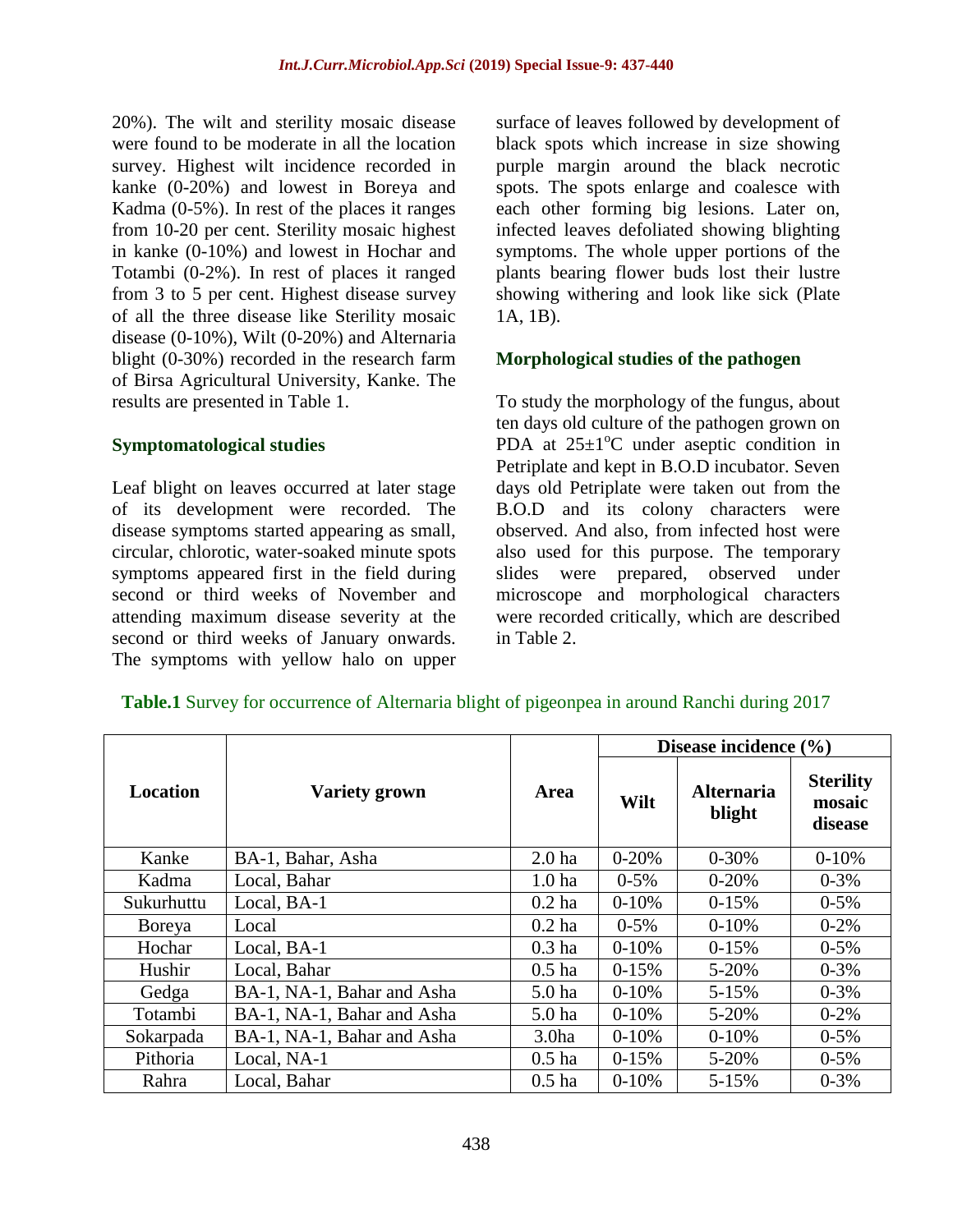20%). The wilt and sterility mosaic disease were found to be moderate in all the location survey. Highest wilt incidence recorded in kanke (0-20%) and lowest in Boreya and Kadma (0-5%). In rest of the places it ranges from 10-20 per cent. Sterility mosaic highest in kanke (0-10%) and lowest in Hochar and Totambi (0-2%). In rest of places it ranged from 3 to 5 per cent. Highest disease survey of all the three disease like Sterility mosaic disease (0-10%), Wilt (0-20%) and Alternaria blight (0-30%) recorded in the research farm of Birsa Agricultural University, Kanke. The results are presented in Table 1.

#### **Symptomatological studies**

Leaf blight on leaves occurred at later stage of its development were recorded. The disease symptoms started appearing as small, circular, chlorotic, water-soaked minute spots symptoms appeared first in the field during second or third weeks of November and attending maximum disease severity at the second or third weeks of January onwards. The symptoms with yellow halo on upper

surface of leaves followed by development of black spots which increase in size showing purple margin around the black necrotic spots. The spots enlarge and coalesce with each other forming big lesions. Later on, infected leaves defoliated showing blighting symptoms. The whole upper portions of the plants bearing flower buds lost their lustre showing withering and look like sick (Plate 1A, 1B).

#### **Morphological studies of the pathogen**

To study the morphology of the fungus, about ten days old culture of the pathogen grown on PDA at  $25\pm1\textsuperscript{o}$  under aseptic condition in Petriplate and kept in B.O.D incubator. Seven days old Petriplate were taken out from the B.O.D and its colony characters were observed. And also, from infected host were also used for this purpose. The temporary slides were prepared, observed under microscope and morphological characters were recorded critically, which are described in Table 2.

|            |                            | Area              | Disease incidence (%) |                             |                                       |  |
|------------|----------------------------|-------------------|-----------------------|-----------------------------|---------------------------------------|--|
| Location   | <b>Variety grown</b>       |                   | Wilt                  | <b>Alternaria</b><br>blight | <b>Sterility</b><br>mosaic<br>disease |  |
| Kanke      | BA-1, Bahar, Asha          | 2.0 <sub>ha</sub> | $0 - 20%$             | $0 - 30%$                   | $0-10%$                               |  |
| Kadma      | Local, Bahar               | 1.0 <sub>ha</sub> | $0 - 5\%$             | $0 - 20%$                   | $0 - 3\%$                             |  |
| Sukurhuttu | Local, BA-1                | $0.2$ ha          | $0-10%$               | $0-15%$                     | $0 - 5\%$                             |  |
| Boreya     | Local                      | $0.2$ ha          | $0 - 5\%$             | $0 - 10%$                   | $0 - 2\%$                             |  |
| Hochar     | Local, BA-1                | $0.3$ ha          | $0-10%$               | $0-15%$                     | $0 - 5\%$                             |  |
| Hushir     | Local, Bahar               | $0.5$ ha          | $0-15%$               | 5-20%                       | $0 - 3\%$                             |  |
| Gedga      | BA-1, NA-1, Bahar and Asha | 5.0 ha            | $0-10%$               | $5 - 15%$                   | $0 - 3\%$                             |  |
| Totambi    | BA-1, NA-1, Bahar and Asha | 5.0 <sub>ha</sub> | $0-10%$               | 5-20%                       | $0 - 2\%$                             |  |
| Sokarpada  | BA-1, NA-1, Bahar and Asha | 3.0 <sub>ha</sub> | $0-10%$               | $0-10%$                     | $0 - 5\%$                             |  |
| Pithoria   | Local, NA-1                | $0.5$ ha          | $0-15%$               | $5 - 20%$                   | $0 - 5\%$                             |  |
| Rahra      | Local, Bahar               | $0.5$ ha          | $0-10%$               | $5 - 15%$                   | $0 - 3%$                              |  |

#### **Table.1** Survey for occurrence of Alternaria blight of pigeonpea in around Ranchi during 2017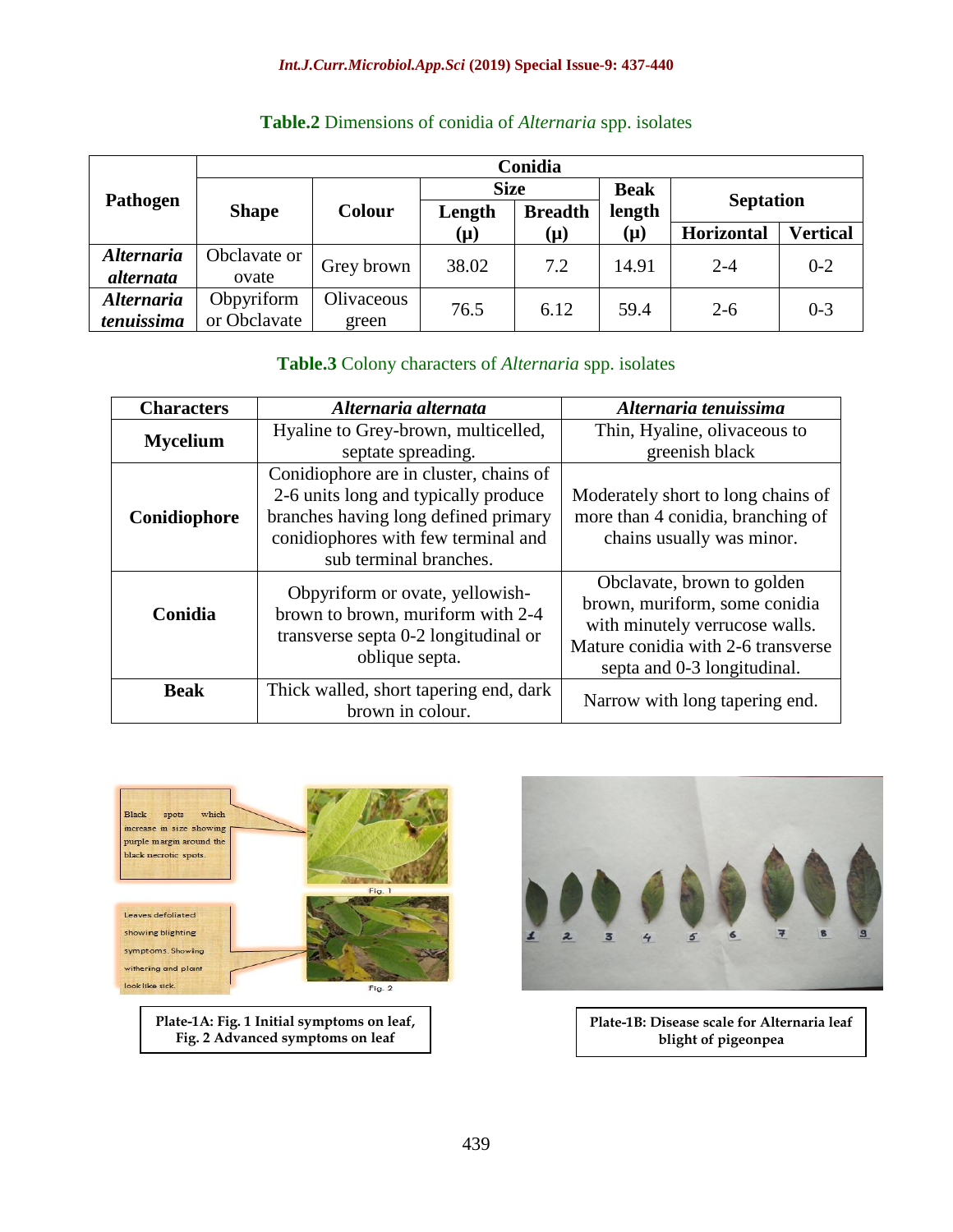|                          | Conidia      |               |             |                |               |                  |                 |  |
|--------------------------|--------------|---------------|-------------|----------------|---------------|------------------|-----------------|--|
| Pathogen                 |              | <b>Colour</b> | <b>Size</b> |                | <b>Beak</b>   |                  |                 |  |
|                          | <b>Shape</b> |               | Length      | <b>Breadth</b> | length<br>(µ) | <b>Septation</b> |                 |  |
|                          |              |               | (µ)         | $(\mu)$        |               | Horizontal       | <b>Vertical</b> |  |
| <b>Alternaria</b>        | Obclavate or | Grey brown    | 38.02       | 7.2            | 14.91         | $2 - 4$          | $0 - 2$         |  |
| alternata                | ovate        |               |             |                |               |                  |                 |  |
| <i><b>Alternaria</b></i> | Obpyriform   | Olivaceous    | 76.5        | 6.12           | 59.4          | $2 - 6$          | $0 - 3$         |  |
| tenuissima               | or Obclavate | green         |             |                |               |                  |                 |  |

# **Table.2** Dimensions of conidia of *Alternaria* spp. isolates

## **Table.3** Colony characters of *Alternaria* spp. isolates

| <b>Characters</b> | Alternaria alternata                                                                                                                                                                    | Alternaria tenuissima                                                                                                                                              |  |  |
|-------------------|-----------------------------------------------------------------------------------------------------------------------------------------------------------------------------------------|--------------------------------------------------------------------------------------------------------------------------------------------------------------------|--|--|
| <b>Mycelium</b>   | Hyaline to Grey-brown, multicelled,<br>septate spreading.                                                                                                                               | Thin, Hyaline, olivaceous to<br>greenish black                                                                                                                     |  |  |
| Conidiophore      | Conidiophore are in cluster, chains of<br>2-6 units long and typically produce<br>branches having long defined primary<br>conidiophores with few terminal and<br>sub terminal branches. | Moderately short to long chains of<br>more than 4 conidia, branching of<br>chains usually was minor.                                                               |  |  |
| Conidia           | Obpyriform or ovate, yellowish-<br>brown to brown, muriform with 2-4<br>transverse septa 0-2 longitudinal or<br>oblique septa.                                                          | Obclavate, brown to golden<br>brown, muriform, some conidia<br>with minutely verrucose walls.<br>Mature conidia with 2-6 transverse<br>septa and 0-3 longitudinal. |  |  |
| <b>Beak</b>       | Thick walled, short tapering end, dark<br>brown in colour.                                                                                                                              | Narrow with long tapering end.                                                                                                                                     |  |  |



**Plate-1A: Fig. 1 Initial symptoms on leaf, Fig. 2 Advanced symptoms on leaf**

![](_page_2_Picture_7.jpeg)

**Plate-1B: Disease scale for Alternaria leaf blight of pigeonpea**